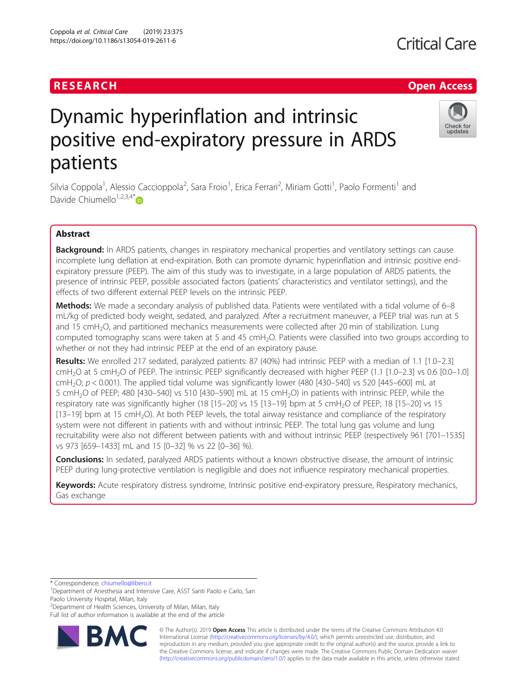# RESEARCH **RESEARCH CHANNEL EXECUTE ACCESS**

# Dynamic hyperinflation and intrinsic positive end-expiratory pressure in ARDS patients

Silvia Coppola<sup>1</sup>, Alessio Caccioppola<sup>2</sup>, Sara Froio<sup>1</sup>, Erica Ferrari<sup>2</sup>, Miriam Gotti<sup>1</sup>, Paolo Formenti<sup>1</sup> and Davide Chiumello<sup>1,2,3,4[\\*](http://orcid.org/0000-0001-9260-3930)</sup> $\bullet$ 

## Abstract

Background: In ARDS patients, changes in respiratory mechanical properties and ventilatory settings can cause incomplete lung deflation at end-expiration. Both can promote dynamic hyperinflation and intrinsic positive endexpiratory pressure (PEEP). The aim of this study was to investigate, in a large population of ARDS patients, the presence of intrinsic PEEP, possible associated factors (patients' characteristics and ventilator settings), and the effects of two different external PEEP levels on the intrinsic PEEP.

Methods: We made a secondary analysis of published data. Patients were ventilated with a tidal volume of 6–8 mL/kg of predicted body weight, sedated, and paralyzed. After a recruitment maneuver, a PEEP trial was run at 5 and 15 cmH<sub>2</sub>O, and partitioned mechanics measurements were collected after 20 min of stabilization. Lung computed tomography scans were taken at 5 and 45 cmH<sub>2</sub>O. Patients were classified into two groups according to whether or not they had intrinsic PEEP at the end of an expiratory pause.

Results: We enrolled 217 sedated, paralyzed patients: 87 (40%) had intrinsic PEEP with a median of 1.1 [1.0–2.3] cmH<sub>2</sub>O at 5 cmH<sub>2</sub>O of PEEP. The intrinsic PEEP significantly decreased with higher PEEP (1.1 [1.0–2.3] vs 0.6 [0.0–1.0] cmH<sub>2</sub>O;  $p < 0.001$ ). The applied tidal volume was significantly lower (480 [430–540] vs 520 [445–600] mL at 5 cmH2O of PEEP; 480 [430–540] vs 510 [430–590] mL at 15 cmH2O) in patients with intrinsic PEEP, while the respiratory rate was significantly higher (18 [15–20] vs 15 [13–19] bpm at 5 cmH<sub>2</sub>O of PEEP; 18 [15–20] vs 15 [13–19] bpm at 15 cmH2O). At both PEEP levels, the total airway resistance and compliance of the respiratory system were not different in patients with and without intrinsic PEEP. The total lung gas volume and lung recruitability were also not different between patients with and without intrinsic PEEP (respectively 961 [701–1535] vs 973 [659–1433] mL and 15 [0–32] % vs 22 [0–36] %).

**Conclusions:** In sedated, paralyzed ARDS patients without a known obstructive disease, the amount of intrinsic PEEP during lung-protective ventilation is negligible and does not influence respiratory mechanical properties.

Keywords: Acute respiratory distress syndrome, Intrinsic positive end-expiratory pressure, Respiratory mechanics, Gas exchange

\* Correspondence: [chiumello@libero.it](mailto:chiumello@libero.it) <sup>1</sup>

**BM** 

<sup>2</sup> Department of Health Sciences, University of Milan, Milan, Italy

Full list of author information is available at the end of the article







<sup>&</sup>lt;sup>1</sup>Department of Anesthesia and Intensive Care, ASST Santi Paolo e Carlo, San Paolo University Hospital, Milan, Italy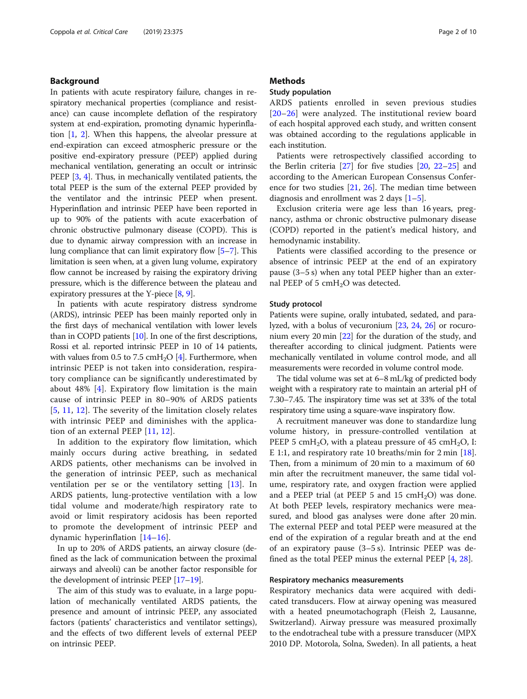#### Background

In patients with acute respiratory failure, changes in respiratory mechanical properties (compliance and resistance) can cause incomplete deflation of the respiratory system at end-expiration, promoting dynamic hyperinflation [\[1,](#page-8-0) [2](#page-8-0)]. When this happens, the alveolar pressure at end-expiration can exceed atmospheric pressure or the positive end-expiratory pressure (PEEP) applied during mechanical ventilation, generating an occult or intrinsic PEEP [[3](#page-8-0), [4](#page-8-0)]. Thus, in mechanically ventilated patients, the total PEEP is the sum of the external PEEP provided by the ventilator and the intrinsic PEEP when present. Hyperinflation and intrinsic PEEP have been reported in up to 90% of the patients with acute exacerbation of chronic obstructive pulmonary disease (COPD). This is due to dynamic airway compression with an increase in lung compliance that can limit expiratory flow [\[5](#page-8-0)–[7\]](#page-8-0). This limitation is seen when, at a given lung volume, expiratory flow cannot be increased by raising the expiratory driving pressure, which is the difference between the plateau and expiratory pressures at the Y-piece [[8,](#page-8-0) [9](#page-8-0)].

In patients with acute respiratory distress syndrome (ARDS), intrinsic PEEP has been mainly reported only in the first days of mechanical ventilation with lower levels than in COPD patients [[10](#page-8-0)]. In one of the first descriptions, Rossi et al. reported intrinsic PEEP in 10 of 14 patients, with values from 0.5 to 7.5 cmH<sub>2</sub>O [\[4](#page-8-0)]. Furthermore, when intrinsic PEEP is not taken into consideration, respiratory compliance can be significantly underestimated by about 48% [[4\]](#page-8-0). Expiratory flow limitation is the main cause of intrinsic PEEP in 80–90% of ARDS patients [[5](#page-8-0), [11,](#page-8-0) [12](#page-8-0)]. The severity of the limitation closely relates with intrinsic PEEP and diminishes with the application of an external PEEP [[11,](#page-8-0) [12](#page-8-0)].

In addition to the expiratory flow limitation, which mainly occurs during active breathing, in sedated ARDS patients, other mechanisms can be involved in the generation of intrinsic PEEP, such as mechanical ventilation per se or the ventilatory setting [[13\]](#page-8-0). In ARDS patients, lung-protective ventilation with a low tidal volume and moderate/high respiratory rate to avoid or limit respiratory acidosis has been reported to promote the development of intrinsic PEEP and dynamic hyperinflation [\[14](#page-8-0)–[16](#page-8-0)].

In up to 20% of ARDS patients, an airway closure (defined as the lack of communication between the proximal airways and alveoli) can be another factor responsible for the development of intrinsic PEEP [\[17](#page-8-0)–[19\]](#page-8-0).

The aim of this study was to evaluate, in a large population of mechanically ventilated ARDS patients, the presence and amount of intrinsic PEEP, any associated factors (patients' characteristics and ventilator settings), and the effects of two different levels of external PEEP on intrinsic PEEP.

#### **Methods**

#### Study population

ARDS patients enrolled in seven previous studies [[20](#page-8-0)–[26\]](#page-8-0) were analyzed. The institutional review board of each hospital approved each study, and written consent was obtained according to the regulations applicable in each institution.

Patients were retrospectively classified according to the Berlin criteria  $[27]$  $[27]$  for five studies  $[20, 22-25]$  $[20, 22-25]$  $[20, 22-25]$  $[20, 22-25]$  $[20, 22-25]$  $[20, 22-25]$  and according to the American European Consensus Conference for two studies [\[21](#page-8-0), [26\]](#page-8-0). The median time between diagnosis and enrollment was 2 days  $[1-5]$  $[1-5]$  $[1-5]$  $[1-5]$  $[1-5]$ .

Exclusion criteria were age less than 16 years, pregnancy, asthma or chronic obstructive pulmonary disease (COPD) reported in the patient's medical history, and hemodynamic instability.

Patients were classified according to the presence or absence of intrinsic PEEP at the end of an expiratory pause (3–5 s) when any total PEEP higher than an external PEEP of 5  $cmH<sub>2</sub>O$  was detected.

#### Study protocol

Patients were supine, orally intubated, sedated, and paralyzed, with a bolus of vecuronium [[23](#page-8-0), [24,](#page-8-0) [26\]](#page-8-0) or rocuronium every 20 min [[22](#page-8-0)] for the duration of the study, and thereafter according to clinical judgment. Patients were mechanically ventilated in volume control mode, and all measurements were recorded in volume control mode.

The tidal volume was set at 6–8 mL/kg of predicted body weight with a respiratory rate to maintain an arterial pH of 7.30–7.45. The inspiratory time was set at 33% of the total respiratory time using a square-wave inspiratory flow.

A recruitment maneuver was done to standardize lung volume history, in pressure-controlled ventilation at PEEP 5 cmH<sub>2</sub>O, with a plateau pressure of 45 cmH<sub>2</sub>O, I: E 1:1, and respiratory rate 10 breaths/min for 2 min [\[18](#page-8-0)]. Then, from a minimum of 20 min to a maximum of 60 min after the recruitment maneuver, the same tidal volume, respiratory rate, and oxygen fraction were applied and a PEEP trial (at PEEP 5 and 15  $cmH<sub>2</sub>O$ ) was done. At both PEEP levels, respiratory mechanics were measured, and blood gas analyses were done after 20 min. The external PEEP and total PEEP were measured at the end of the expiration of a regular breath and at the end of an expiratory pause (3–5 s). Intrinsic PEEP was defined as the total PEEP minus the external PEEP [\[4](#page-8-0), [28](#page-8-0)].

#### Respiratory mechanics measurements

Respiratory mechanics data were acquired with dedicated transducers. Flow at airway opening was measured with a heated pneumotachograph (Fleish 2, Lausanne, Switzerland). Airway pressure was measured proximally to the endotracheal tube with a pressure transducer (MPX 2010 DP. Motorola, Solna, Sweden). In all patients, a heat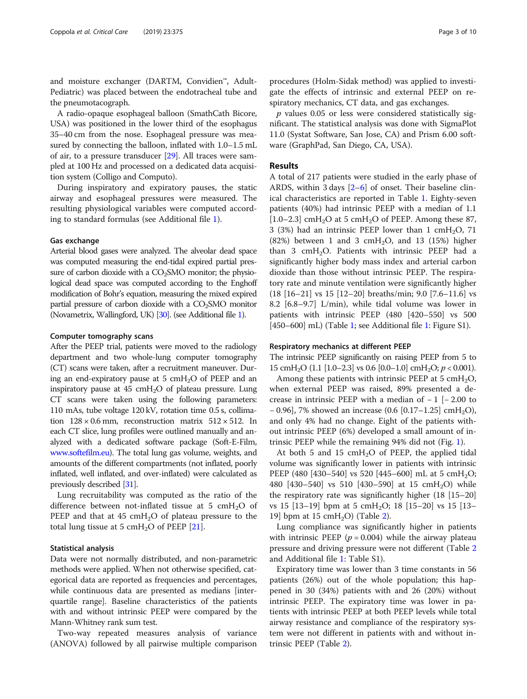and moisture exchanger (DARTM, Convidien™, Adult-Pediatric) was placed between the endotracheal tube and the pneumotacograph.

A radio-opaque esophageal balloon (SmathCath Bicore, USA) was positioned in the lower third of the esophagus 35–40 cm from the nose. Esophageal pressure was measured by connecting the balloon, inflated with 1.0–1.5 mL of air, to a pressure transducer [[29](#page-8-0)]. All traces were sampled at 100 Hz and processed on a dedicated data acquisition system (Colligo and Computo).

During inspiratory and expiratory pauses, the static airway and esophageal pressures were measured. The resulting physiological variables were computed according to standard formulas (see Additional file [1\)](#page-7-0).

#### Gas exchange

Arterial blood gases were analyzed. The alveolar dead space was computed measuring the end-tidal expired partial pressure of carbon dioxide with a CO<sub>2</sub>SMO monitor; the physiological dead space was computed according to the Enghoff modification of Bohr's equation, measuring the mixed expired partial pressure of carbon dioxide with a  $CO<sub>2</sub>SMO$  monitor (Novametrix, Wallingford, UK) [[30\]](#page-8-0). (see Additional file [1](#page-7-0)).

#### Computer tomography scans

After the PEEP trial, patients were moved to the radiology department and two whole-lung computer tomography (CT) scans were taken, after a recruitment maneuver. During an end-expiratory pause at 5 cm $H_2O$  of PEEP and an inspiratory pause at  $45 \text{ cm}$ H<sub>2</sub>O of plateau pressure. Lung CT scans were taken using the following parameters: 110 mAs, tube voltage 120 kV, rotation time 0.5 s, collimation  $128 \times 0.6$  mm, reconstruction matrix  $512 \times 512$ . In each CT slice, lung profiles were outlined manually and analyzed with a dedicated software package (Soft-E-Film, [www.softefilm.eu\)](http://www.softefilm.eu). The total lung gas volume, weights, and amounts of the different compartments (not inflated, poorly inflated, well inflated, and over-inflated) were calculated as previously described [[31](#page-8-0)].

Lung recruitability was computed as the ratio of the difference between not-inflated tissue at 5 cmH<sub>2</sub>O of PEEP and that at  $45 \text{ cm}H_2O$  of plateau pressure to the total lung tissue at 5  $cmH<sub>2</sub>O$  of PEEP [[21\]](#page-8-0).

#### Statistical analysis

Data were not normally distributed, and non-parametric methods were applied. When not otherwise specified, categorical data are reported as frequencies and percentages, while continuous data are presented as medians [interquartile range]. Baseline characteristics of the patients with and without intrinsic PEEP were compared by the Mann-Whitney rank sum test.

Two-way repeated measures analysis of variance (ANOVA) followed by all pairwise multiple comparison

procedures (Holm-Sidak method) was applied to investigate the effects of intrinsic and external PEEP on respiratory mechanics, CT data, and gas exchanges.

 $p$  values 0.05 or less were considered statistically significant. The statistical analysis was done with SigmaPlot 11.0 (Systat Software, San Jose, CA) and Prism 6.00 software (GraphPad, San Diego, CA, USA).

#### Results

A total of 217 patients were studied in the early phase of ARDS, within 3 days [\[2](#page-8-0)–[6](#page-8-0)] of onset. Their baseline clinical characteristics are reported in Table [1](#page-3-0). Eighty-seven patients (40%) had intrinsic PEEP with a median of 1.1 [ $1.0-2.3$ ] cmH<sub>2</sub>O at 5 cmH<sub>2</sub>O of PEEP. Among these 87, 3 (3%) had an intrinsic PEEP lower than 1 cmH<sub>2</sub>O, 71 (82%) between 1 and 3 cmH<sub>2</sub>O, and 13 (15%) higher than 3 cmH<sub>2</sub>O. Patients with intrinsic PEEP had a significantly higher body mass index and arterial carbon dioxide than those without intrinsic PEEP. The respiratory rate and minute ventilation were significantly higher (18 [16–21] vs 15 [12–20] breaths/min; 9.0 [7.6–11.6] vs 8.2 [6.8–9.7] L/min), while tidal volume was lower in patients with intrinsic PEEP (480 [420–550] vs 500 [450–600] mL) (Table [1;](#page-3-0) see Additional file [1:](#page-7-0) Figure S1).

#### Respiratory mechanics at different PEEP

The intrinsic PEEP significantly on raising PEEP from 5 to 15 cmH<sub>2</sub>O (1.1 [1.0–2.3] vs 0.6 [0.0–1.0] cmH<sub>2</sub>O;  $p < 0.001$ ).

Among these patients with intrinsic PEEP at 5 cmH<sub>2</sub>O, when external PEEP was raised, 89% presented a decrease in intrinsic PEEP with a median of  $-1$  [ $-2.00$  to  $-$  0.96], 7% showed an increase (0.6 [0.17–1.25] cmH<sub>2</sub>O), and only 4% had no change. Eight of the patients without intrinsic PEEP (6%) developed a small amount of intrinsic PEEP while the remaining 94% did not (Fig. [1\)](#page-3-0).

At both 5 and 15  $cmH<sub>2</sub>O$  of PEEP, the applied tidal volume was significantly lower in patients with intrinsic PEEP (480 [430–540] vs 520 [445–600] mL at 5 cmH<sub>2</sub>O; 480  $[430-540]$  vs 510  $[430-590]$  at 15 cmH<sub>2</sub>O) while the respiratory rate was significantly higher (18 [15–20] vs 15 [13-19] bpm at 5 cmH<sub>2</sub>O; 18 [15-20] vs 15 [13-19] bpm at 15  $cmH<sub>2</sub>O$ ) (Table [2\)](#page-4-0).

Lung compliance was significantly higher in patients with intrinsic PEEP ( $p = 0.004$ ) while the airway plateau pressure and driving pressure were not different (Table [2](#page-4-0) and Additional file [1](#page-7-0): Table S1).

Expiratory time was lower than 3 time constants in 56 patients (26%) out of the whole population; this happened in 30 (34%) patients with and 26 (20%) without intrinsic PEEP. The expiratory time was lower in patients with intrinsic PEEP at both PEEP levels while total airway resistance and compliance of the respiratory system were not different in patients with and without intrinsic PEEP (Table [2](#page-4-0)).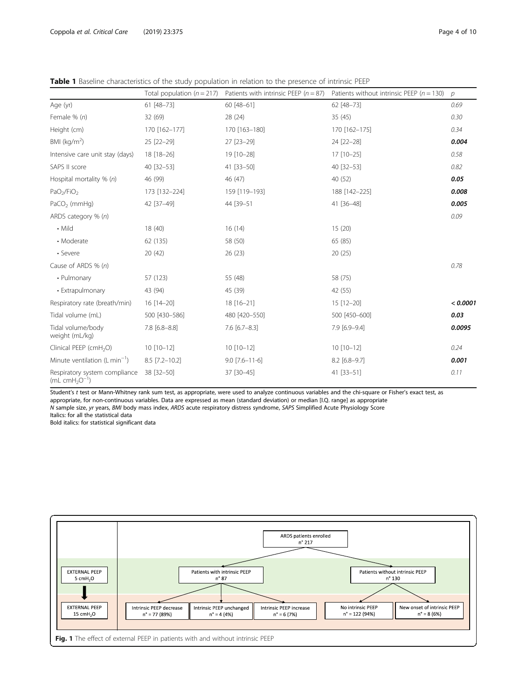|                                                 | Total population $(n = 217)$ | Patients with intrinsic PEEP ( $n = 87$ ) | Patients without intrinsic PEEP ( $n = 130$ ) | $\mathcal{P}$ |
|-------------------------------------------------|------------------------------|-------------------------------------------|-----------------------------------------------|---------------|
| Age (yr)                                        | 61 [48-73]                   | 60 [48-61]                                | 62 [48-73]                                    | 0.69          |
| Female % (n)                                    | 32(69)                       | 28 (24)                                   | 35(45)                                        | 0.30          |
| Height (cm)                                     | 170 [162-177]                | 170 [163-180]                             | 170 [162-175]                                 | 0.34          |
| BMI ( $kg/m2$ )                                 | 25 [22-29]                   | 27 [23-29]                                | 24 [22-28]                                    | 0.004         |
| Intensive care unit stay (days)                 | 18 [18-26]                   | 19 [10-28]                                | 17 [10-25]                                    | 0.58          |
| SAPS II score                                   | 40 [32-53]                   | 41 [33-50]                                | 40 [32-53]                                    | 0.82          |
| Hospital mortality % (n)                        | 46 (99)                      | 46 (47)                                   | 40 (52)                                       | 0.05          |
| PaO <sub>2</sub> /FiO <sub>2</sub>              | 173 [132-224]                | 159 [119-193]                             | 188 [142-225]                                 | 0.008         |
| $PaCO2$ (mmHg)                                  | 42 [37-49]                   | 44 [39-51]                                | 41 [36-48]                                    | 0.005         |
| ARDS category % (n)                             |                              |                                           |                                               | 0.09          |
| $\cdot$ Mild                                    | 18 (40)                      | 16(14)                                    | 15(20)                                        |               |
| • Moderate                                      | 62 (135)                     | 58 (50)                                   | 65 (85)                                       |               |
| • Severe                                        | 20(42)                       | 26(23)                                    | 20(25)                                        |               |
| Cause of ARDS % (n)                             |                              |                                           |                                               | 0.78          |
| • Pulmonary                                     | 57 (123)                     | 55 (48)                                   | 58 (75)                                       |               |
| • Extrapulmonary                                | 43 (94)                      | 45 (39)                                   | 42 (55)                                       |               |
| Respiratory rate (breath/min)                   | 16 [14-20]                   | 18 [16-21]                                | 15 [12-20]                                    | < 0.0001      |
| Tidal volume (mL)                               | 500 [430-586]                | 480 [420-550]                             | 500 [450-600]                                 | 0.03          |
| Tidal volume/body<br>weight (mL/kg)             | $7.8$ [6.8-8.8]              | $7.6$ [6.7-8.3]                           | 7.9 [6.9-9.4]                                 | 0.0095        |
| Clinical PEEP (cmH <sub>2</sub> O)              | 10 [10-12]                   | $10$ [10-12]                              | 10 [10-12]                                    | 0.24          |
| Minute ventilation $(L \text{ min}^{-1})$       | 8.5 [7.2-10.2]               | $9.0$ [7.6-11-6]                          | $8.2$ [6.8-9.7]                               | 0.001         |
| Respiratory system compliance<br>$(mL cmH2O-1)$ | 38 [32-50]                   | 37 [30-45]                                | 41 [33-51]                                    | 0.11          |

<span id="page-3-0"></span>Table 1 Baseline characteristics of the study population in relation to the presence of intrinsic PEEP

Student's t test or Mann-Whitney rank sum test, as appropriate, were used to analyze continuous variables and the chi-square or Fisher's exact test, as appropriate, for non-continuous variables. Data are expressed as mean (standard deviation) or median [I.Q. range] as appropriate N sample size, yr years, BMI body mass index, ARDS acute respiratory distress syndrome, SAPS Simplified Acute Physiology Score

Italics: for all the statistical data

Bold italics: for statistical significant data

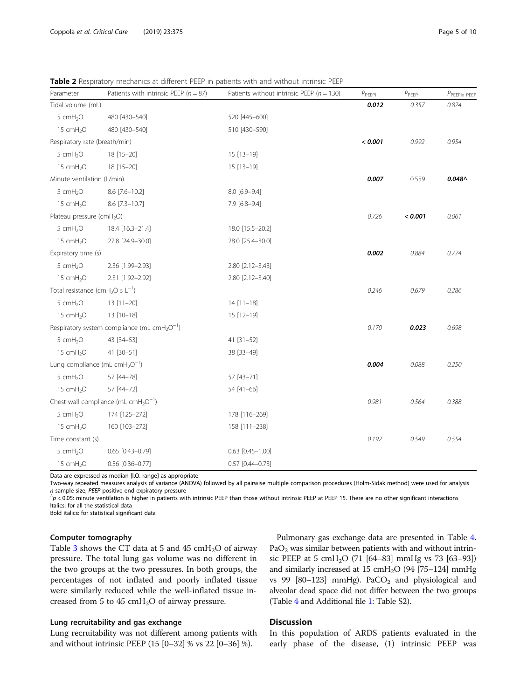<span id="page-4-0"></span>

| Parameter                                                    | Patients with intrinsic PEEP ( $n = 87$ )                            | Patients without intrinsic PEEP ( $n = 130$ ) | $P_{\mathsf{PEEPi}}$ | $\rho_{\rm PEEP}$ | $P$ PEEPIX PEEP |
|--------------------------------------------------------------|----------------------------------------------------------------------|-----------------------------------------------|----------------------|-------------------|-----------------|
| Tidal volume (mL)                                            |                                                                      |                                               | 0.012                | 0.357             | 0.874           |
| 5 cmH <sub>2</sub> O                                         | 480 [430-540]                                                        | 520 [445-600]                                 |                      |                   |                 |
| 15 cmH <sub>2</sub> O                                        | 480 [430-540]                                                        | 510 [430-590]                                 |                      |                   |                 |
| Respiratory rate (breath/min)                                |                                                                      |                                               | < 0.001              | 0.992             | 0.954           |
| 5 cmH <sub>2</sub> O                                         | 18 [15-20]                                                           | $15[13-19]$                                   |                      |                   |                 |
| 15 cmH <sub>2</sub> O                                        | 18 [15-20]                                                           | 15 [13-19]                                    |                      |                   |                 |
| Minute ventilation (L/min)                                   |                                                                      |                                               | 0.007                | 0.559             | $0.048 \wedge$  |
| 5 cmH <sub>2</sub> O                                         | 8.6 [7.6-10.2]                                                       | 8.0 [6.9-9.4]                                 |                      |                   |                 |
| 15 cmH <sub>2</sub> O                                        | 8.6 [7.3-10.7]                                                       | 7.9 [6.8-9.4]                                 |                      |                   |                 |
| Plateau pressure (cmH <sub>2</sub> O)                        |                                                                      |                                               | 0.726                | < 0.001           | 0.061           |
| 5 cmH <sub>2</sub> O                                         | 18.4 [16.3-21.4]                                                     | 18.0 [15.5-20.2]                              |                      |                   |                 |
| 15 cmH <sub>2</sub> O                                        | 27.8 [24.9-30.0]                                                     | 28.0 [25.4-30.0]                              |                      |                   |                 |
| Expiratory time (s)                                          |                                                                      |                                               | 0.002                | 0.884             | 0.774           |
| 5 cmH <sub>2</sub> O                                         | 2.36 [1.99-2.93]                                                     | 2.80 [2.12-3.43]                              |                      |                   |                 |
| 15 cmH <sub>2</sub> O                                        | 2.31 [1.92-2.92]                                                     | 2.80 [2.12-3.40]                              |                      |                   |                 |
| Total resistance (cmH <sub>2</sub> O s $L^{-1}$ )            |                                                                      |                                               | 0.246                | 0.679             | 0.286           |
| 5 cmH <sub>2</sub> O                                         | 13 [11-20]                                                           | $14[11-18]$                                   |                      |                   |                 |
| 15 cmH <sub>2</sub> O                                        | 13 [10-18]                                                           | 15 [12-19]                                    |                      |                   |                 |
|                                                              | Respiratory system compliance (mL cmH <sub>2</sub> O <sup>-1</sup> ) |                                               | 0.170                | 0.023             | 0.698           |
| 5 cmH <sub>2</sub> O                                         | 43 [34-53]                                                           | 41 [31-52]                                    |                      |                   |                 |
| 15 $cmH2O$                                                   | 41 [30-51]                                                           | 38 [33-49]                                    |                      |                   |                 |
| Lung compliance (mL cmH <sub>2</sub> O <sup>-1</sup> )       |                                                                      |                                               | 0.004                | 0.088             | 0.250           |
| 5 cm $H_2O$                                                  | 57 [44-78]                                                           | 57 [43-71]                                    |                      |                   |                 |
| 15 cmH <sub>2</sub> O                                        | 57 [44-72]                                                           | 54 [41-66]                                    |                      |                   |                 |
| Chest wall compliance (mL cmH <sub>2</sub> O <sup>-1</sup> ) |                                                                      | 0.981                                         | 0.564                | 0.388             |                 |
| 5 cmH <sub>2</sub> O                                         | 174 [125-272]                                                        | 178 [116-269]                                 |                      |                   |                 |
| 15 cm $H_2O$                                                 | 160 [103-272]                                                        | 158 [111-238]                                 |                      |                   |                 |
| Time constant (s)                                            |                                                                      |                                               | 0.192                | 0.549             | 0.554           |
| 5 cmH <sub>2</sub> O                                         | $0.65$ $[0.43 - 0.79]$                                               | $0.63$ $[0.45 - 1.00]$                        |                      |                   |                 |
| 15 cmH <sub>2</sub> O                                        | $0.56$ [0.36-0.77]                                                   | $0.57$ [0.44-0.73]                            |                      |                   |                 |

Data are expressed as median [I.Q. range] as appropriate

Two-way repeated measures analysis of variance (ANOVA) followed by all pairwise multiple comparison procedures (Holm-Sidak method) were used for analysis <sup>n</sup> sample size, PEEP positive-end expiratory pressure ^

 $\hat{p}$  < 0.05: minute ventilation is higher in patients with intrinsic PEEP than those without intrinsic PEEP at PEEP 15. There are no other significant interactions Italics: for all the statistical data

Bold italics: for statistical significant data

#### Computer tomography

Table [3](#page-5-0) shows the CT data at 5 and 45  $cmH<sub>2</sub>O$  of airway pressure. The total lung gas volume was no different in the two groups at the two pressures. In both groups, the percentages of not inflated and poorly inflated tissue were similarly reduced while the well-inflated tissue increased from 5 to 45  $cmH<sub>2</sub>O$  of airway pressure.

#### Lung recruitability and gas exchange

Lung recruitability was not different among patients with and without intrinsic PEEP (15 [0–32] % vs 22 [0–36] %).

Pulmonary gas exchange data are presented in Table [4](#page-5-0).  $PaO<sub>2</sub>$  was similar between patients with and without intrinsic PEEP at 5 cmH<sub>2</sub>O (71 [64–83] mmHg vs 73 [63–93]) and similarly increased at 15 cmH<sub>2</sub>O (94 [75–124] mmHg vs 99  $[80-123]$  mmHg). PaCO<sub>2</sub> and physiological and alveolar dead space did not differ between the two groups (Table [4](#page-5-0) and Additional file [1:](#page-7-0) Table S2).

### **Discussion**

In this population of ARDS patients evaluated in the early phase of the disease, (1) intrinsic PEEP was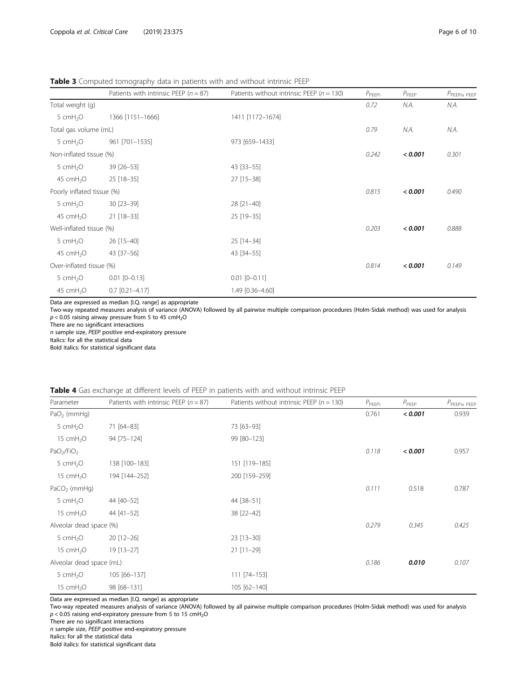<span id="page-5-0"></span>Table 3 Computed tomography data in patients with and without intrinsic PEEP

|                            | Patients with intrinsic PEEP ( $n = 87$ ) | Patients without intrinsic PEEP ( $n = 130$ ) | $P_{PEEPi}$ | $P_{PEEP}$ | $P$ PEEPix PEEP |
|----------------------------|-------------------------------------------|-----------------------------------------------|-------------|------------|-----------------|
| Total weight (g)           |                                           |                                               | 0.72        | N.A.       | N.A.            |
| 5 cmH <sub>2</sub> O       | 1366 [1151-1666]                          | 1411 [1172-1674]                              |             |            |                 |
| Total gas volume (mL)      |                                           | 0.79                                          | N.A.        | N.A.       |                 |
| 5 cmH <sub>2</sub> O       | 961 [701-1535]                            | 973 [659-1433]                                |             |            |                 |
| Non-inflated tissue (%)    |                                           |                                               | 0.242       | < 0.001    | 0.301           |
| 5 $cmH2O$                  | 39 [26-53]                                | 43 [33-55]                                    |             |            |                 |
| 45 cmH <sub>2</sub> O      | 25 [18-35]                                | 27 [15-38]                                    |             |            |                 |
| Poorly inflated tissue (%) |                                           |                                               | 0.815       | < 0.001    | 0.490           |
| 5 $cmH2O$                  | 30 [23-39]                                | 28 [21-40]                                    |             |            |                 |
| 45 cmH <sub>2</sub> O      | 21 [18-33]                                | 25 [19-35]                                    |             |            |                 |
| Well-inflated tissue (%)   |                                           | 0.203                                         | < 0.001     | 0.888      |                 |
| 5 cmH <sub>2</sub> O       | 26 [15-40]                                | 25 [14-34]                                    |             |            |                 |
| 45 cmH <sub>2</sub> O      | 43 [37-56]                                | 43 [34-55]                                    |             |            |                 |
| Over-inflated tissue (%)   |                                           | 0.814                                         | < 0.001     | 0.149      |                 |
| 5 cmH <sub>2</sub> O       | $0.01$ $[0 - 0.13]$                       | $0.01$ $[0 - 0.11]$                           |             |            |                 |
| 45 cmH <sub>2</sub> O      | $0.7$ $[0.21 - 4.17]$                     | 1.49 [0.36-4.60]                              |             |            |                 |

Data are expressed as median [I.Q. range] as appropriate

Two-way repeated measures analysis of variance (ANOVA) followed by all pairwise multiple comparison procedures (Holm-Sidak method) was used for analysis  $p < 0.05$  raising airway pressure from 5 to 45 cmH<sub>2</sub>O

There are no significant interactions

n sample size, PEEP positive end-expiratory pressure

Italics: for all the statistical data

Bold italics: for statistical significant data

| <b>TWO IS THE SURFACTION OF A CONTRACT COMPOSITION IN PUTCHILD WITH AND MATCH CONTINUES.</b> |                                           |                                               |             |            |                 |  |
|----------------------------------------------------------------------------------------------|-------------------------------------------|-----------------------------------------------|-------------|------------|-----------------|--|
| Parameter                                                                                    | Patients with intrinsic PEEP ( $n = 87$ ) | Patients without intrinsic PEEP ( $n = 130$ ) | $P_{PEEPi}$ | $P_{PEEP}$ | $P$ PEEPIX PEEP |  |
| $PaO2$ (mmHg)                                                                                |                                           |                                               | 0.761       | < 0.001    | 0.939           |  |
| 5 $cmH2O$                                                                                    | 71 [64-83]                                | 73 [63-93]                                    |             |            |                 |  |
| 15 $cmH2O$                                                                                   | 94 [75-124]                               | 99 [80-123]                                   |             |            |                 |  |
| PaO <sub>2</sub> /FiO <sub>2</sub>                                                           |                                           |                                               | 0.118       | < 0.001    | 0.957           |  |
| 5 $cmH2O$                                                                                    | 138 [100-183]                             | 151 [119-185]                                 |             |            |                 |  |
| 15 $cmH2O$                                                                                   | 194 [144-252]                             | 200 [159-259]                                 |             |            |                 |  |
| $PaCO2$ (mmHg)                                                                               |                                           |                                               | 0.111       | 0.518      | 0.787           |  |
| 5 $cmH2O$                                                                                    | 44 [40-52]                                | 44 [38-51]                                    |             |            |                 |  |
| 15 cmH <sub>2</sub> O                                                                        | 44 [41-52]                                | 38 [22-42]                                    |             |            |                 |  |
| Alveolar dead space (%)                                                                      |                                           |                                               | 0.279       | 0.345      | 0.425           |  |
| 5 cm $H_2O$                                                                                  | 20 [12-26]                                | 23 [13-30]                                    |             |            |                 |  |
| 15 cm $H_2O$                                                                                 | $19$ [13-27]                              | $21$ [11-29]                                  |             |            |                 |  |
| Alveolar dead space (mL)                                                                     |                                           |                                               | 0.186       | 0.010      | 0.107           |  |
| 5 cm $H_2O$                                                                                  | 105 [66-137]                              | 111 [74-153]                                  |             |            |                 |  |
| 15 $cmH2O$                                                                                   | 98 [68-131]                               | 105 [62-140]                                  |             |            |                 |  |

|  |  | <b>Table 4</b> Gas exchange at different levels of PEEP in patients with and without intrinsic PEEP |  |  |  |  |
|--|--|-----------------------------------------------------------------------------------------------------|--|--|--|--|
|--|--|-----------------------------------------------------------------------------------------------------|--|--|--|--|

Data are expressed as median [I.Q. range] as appropriate

Two-way repeated measures analysis of variance (ANOVA) followed by all pairwise multiple comparison procedures (Holm-Sidak method) was used for analysis  $p < 0.05$  raising end-expiratory pressure from 5 to 15 cmH<sub>2</sub>O

There are no significant interactions

n sample size, PEEP positive end-expiratory pressure

Italics: for all the statistical data

Bold italics: for statistical significant data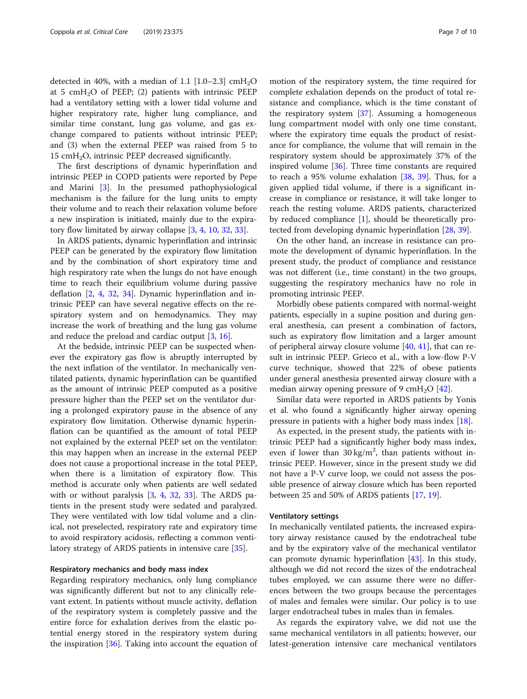detected in 40%, with a median of 1.1  $[1.0-2.3]$  cmH<sub>2</sub>O at 5 cmH<sub>2</sub>O of PEEP; (2) patients with intrinsic PEEP had a ventilatory setting with a lower tidal volume and higher respiratory rate, higher lung compliance, and similar time constant, lung gas volume, and gas exchange compared to patients without intrinsic PEEP; and (3) when the external PEEP was raised from 5 to  $15 \text{ cm}$ H<sub>2</sub>O, intrinsic PEEP decreased significantly.

The first descriptions of dynamic hyperinflation and intrinsic PEEP in COPD patients were reported by Pepe and Marini [[3\]](#page-8-0). In the presumed pathophysiological mechanism is the failure for the lung units to empty their volume and to reach their relaxation volume before a new inspiration is initiated, mainly due to the expiratory flow limitated by airway collapse [[3,](#page-8-0) [4,](#page-8-0) [10](#page-8-0), [32](#page-9-0), [33](#page-9-0)].

In ARDS patients, dynamic hyperinflation and intrinsic PEEP can be generated by the expiratory flow limitation and by the combination of short expiratory time and high respiratory rate when the lungs do not have enough time to reach their equilibrium volume during passive deflation [[2,](#page-8-0) [4,](#page-8-0) [32](#page-9-0), [34](#page-9-0)]. Dynamic hyperinflation and intrinsic PEEP can have several negative effects on the respiratory system and on hemodynamics. They may increase the work of breathing and the lung gas volume and reduce the preload and cardiac output [[3,](#page-8-0) [16\]](#page-8-0).

At the bedside, intrinsic PEEP can be suspected whenever the expiratory gas flow is abruptly interrupted by the next inflation of the ventilator. In mechanically ventilated patients, dynamic hyperinflation can be quantified as the amount of intrinsic PEEP computed as a positive pressure higher than the PEEP set on the ventilator during a prolonged expiratory pause in the absence of any expiratory flow limitation. Otherwise dynamic hyperinflation can be quantified as the amount of total PEEP not explained by the external PEEP set on the ventilator: this may happen when an increase in the external PEEP does not cause a proportional increase in the total PEEP, when there is a limitation of expiratory flow. This method is accurate only when patients are well sedated with or without paralysis [[3,](#page-8-0) [4,](#page-8-0) [32,](#page-9-0) [33](#page-9-0)]. The ARDS patients in the present study were sedated and paralyzed. They were ventilated with low tidal volume and a clinical, not preselected, respiratory rate and expiratory time to avoid respiratory acidosis, reflecting a common ventilatory strategy of ARDS patients in intensive care [[35\]](#page-9-0).

#### Respiratory mechanics and body mass index

Regarding respiratory mechanics, only lung compliance was significantly different but not to any clinically relevant extent. In patients without muscle activity, deflation of the respiratory system is completely passive and the entire force for exhalation derives from the elastic potential energy stored in the respiratory system during the inspiration [[36\]](#page-9-0). Taking into account the equation of motion of the respiratory system, the time required for complete exhalation depends on the product of total resistance and compliance, which is the time constant of the respiratory system [\[37\]](#page-9-0). Assuming a homogeneous lung compartment model with only one time constant, where the expiratory time equals the product of resistance for compliance, the volume that will remain in the respiratory system should be approximately 37% of the inspired volume [[36\]](#page-9-0). Three time constants are required to reach a 95% volume exhalation [\[38,](#page-9-0) [39\]](#page-9-0). Thus, for a given applied tidal volume, if there is a significant increase in compliance or resistance, it will take longer to reach the resting volume. ARDS patients, characterized by reduced compliance [\[1](#page-8-0)], should be theoretically protected from developing dynamic hyperinflation [[28,](#page-8-0) [39\]](#page-9-0).

On the other hand, an increase in resistance can promote the development of dynamic hyperinflation. In the present study, the product of compliance and resistance was not different (i.e., time constant) in the two groups, suggesting the respiratory mechanics have no role in promoting intrinsic PEEP.

Morbidly obese patients compared with normal-weight patients, especially in a supine position and during general anesthesia, can present a combination of factors, such as expiratory flow limitation and a larger amount of peripheral airway closure volume [[40](#page-9-0), [41](#page-9-0)], that can result in intrinsic PEEP. Grieco et al., with a low-flow P-V curve technique, showed that 22% of obese patients under general anesthesia presented airway closure with a median airway opening pressure of 9 cmH<sub>2</sub>O  $[42]$  $[42]$ .

Similar data were reported in ARDS patients by Yonis et al. who found a significantly higher airway opening pressure in patients with a higher body mass index [\[18](#page-8-0)].

As expected, in the present study, the patients with intrinsic PEEP had a significantly higher body mass index, even if lower than  $30 \text{ kg/m}^2$ , than patients without intrinsic PEEP. However, since in the present study we did not have a P-V curve loop, we could not assess the possible presence of airway closure which has been reported between 25 and 50% of ARDS patients [[17,](#page-8-0) [19\]](#page-8-0).

#### Ventilatory settings

In mechanically ventilated patients, the increased expiratory airway resistance caused by the endotracheal tube and by the expiratory valve of the mechanical ventilator can promote dynamic hyperinflation [\[43](#page-9-0)]. In this study, although we did not record the sizes of the endotracheal tubes employed, we can assume there were no differences between the two groups because the percentages of males and females were similar. Our policy is to use larger endotracheal tubes in males than in females.

As regards the expiratory valve, we did not use the same mechanical ventilators in all patients; however, our latest-generation intensive care mechanical ventilators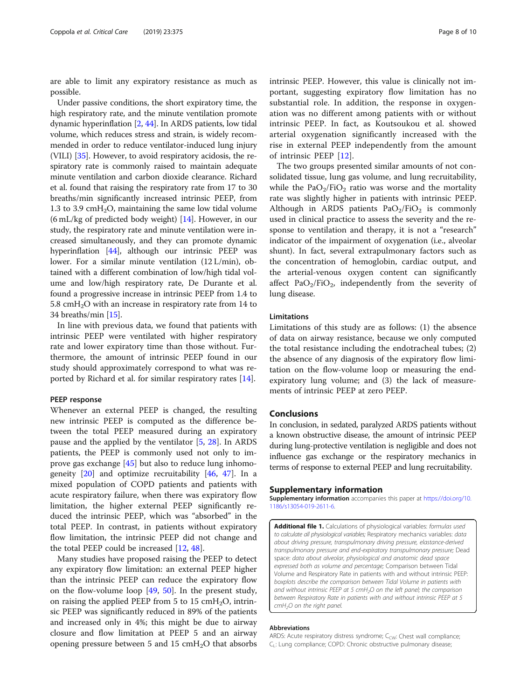<span id="page-7-0"></span>are able to limit any expiratory resistance as much as possible.

Under passive conditions, the short expiratory time, the high respiratory rate, and the minute ventilation promote dynamic hyperinflation [[2,](#page-8-0) [44\]](#page-9-0). In ARDS patients, low tidal volume, which reduces stress and strain, is widely recommended in order to reduce ventilator-induced lung injury (VILI) [\[35](#page-9-0)]. However, to avoid respiratory acidosis, the respiratory rate is commonly raised to maintain adequate minute ventilation and carbon dioxide clearance. Richard et al. found that raising the respiratory rate from 17 to 30 breaths/min significantly increased intrinsic PEEP, from 1.3 to 3.9 cm $H_2O$ , maintaining the same low tidal volume (6 mL/kg of predicted body weight) [\[14](#page-8-0)]. However, in our study, the respiratory rate and minute ventilation were increased simultaneously, and they can promote dynamic hyperinflation [[44](#page-9-0)], although our intrinsic PEEP was lower. For a similar minute ventilation (12 L/min), obtained with a different combination of low/high tidal volume and low/high respiratory rate, De Durante et al. found a progressive increase in intrinsic PEEP from 1.4 to 5.8 cm $H_2O$  with an increase in respiratory rate from 14 to 34 breaths/min [\[15\]](#page-8-0).

In line with previous data, we found that patients with intrinsic PEEP were ventilated with higher respiratory rate and lower expiratory time than those without. Furthermore, the amount of intrinsic PEEP found in our study should approximately correspond to what was reported by Richard et al. for similar respiratory rates [[14\]](#page-8-0).

#### PEEP response

Whenever an external PEEP is changed, the resulting new intrinsic PEEP is computed as the difference between the total PEEP measured during an expiratory pause and the applied by the ventilator [[5,](#page-8-0) [28\]](#page-8-0). In ARDS patients, the PEEP is commonly used not only to improve gas exchange [\[45\]](#page-9-0) but also to reduce lung inhomogeneity  $[20]$  $[20]$  and optimize recruitability  $[46, 47]$  $[46, 47]$  $[46, 47]$  $[46, 47]$ . In a mixed population of COPD patients and patients with acute respiratory failure, when there was expiratory flow limitation, the higher external PEEP significantly reduced the intrinsic PEEP, which was "absorbed" in the total PEEP. In contrast, in patients without expiratory flow limitation, the intrinsic PEEP did not change and the total PEEP could be increased [\[12](#page-8-0), [48\]](#page-9-0).

Many studies have proposed raising the PEEP to detect any expiratory flow limitation: an external PEEP higher than the intrinsic PEEP can reduce the expiratory flow on the flow-volume loop [\[49,](#page-9-0) [50\]](#page-9-0). In the present study, on raising the applied PEEP from 5 to 15  $\text{cm}H_2\text{O}$ , intrinsic PEEP was significantly reduced in 89% of the patients and increased only in 4%; this might be due to airway closure and flow limitation at PEEP 5 and an airway opening pressure between 5 and 15  $\text{cm}H_2\text{O}$  that absorbs

intrinsic PEEP. However, this value is clinically not important, suggesting expiratory flow limitation has no substantial role. In addition, the response in oxygenation was no different among patients with or without intrinsic PEEP. In fact, as Koutsoukou et al. showed arterial oxygenation significantly increased with the rise in external PEEP independently from the amount of intrinsic PEEP [[12\]](#page-8-0).

The two groups presented similar amounts of not consolidated tissue, lung gas volume, and lung recruitability, while the  $PaO<sub>2</sub>/FiO<sub>2</sub>$  ratio was worse and the mortality rate was slightly higher in patients with intrinsic PEEP. Although in ARDS patients  $PaO<sub>2</sub>/FiO<sub>2</sub>$  is commonly used in clinical practice to assess the severity and the response to ventilation and therapy, it is not a "research" indicator of the impairment of oxygenation (i.e., alveolar shunt). In fact, several extrapulmonary factors such as the concentration of hemoglobin, cardiac output, and the arterial-venous oxygen content can significantly affect  $PaO<sub>2</sub>/FiO<sub>2</sub>$ , independently from the severity of lung disease.

#### Limitations

Limitations of this study are as follows: (1) the absence of data on airway resistance, because we only computed the total resistance including the endotracheal tubes; (2) the absence of any diagnosis of the expiratory flow limitation on the flow-volume loop or measuring the endexpiratory lung volume; and (3) the lack of measurements of intrinsic PEEP at zero PEEP.

#### Conclusions

In conclusion, in sedated, paralyzed ARDS patients without a known obstructive disease, the amount of intrinsic PEEP during lung-protective ventilation is negligible and does not influence gas exchange or the respiratory mechanics in terms of response to external PEEP and lung recruitability.

#### Supplementary information

Supplementary information accompanies this paper at [https://doi.org/10.](https://doi.org/10.1186/s13054-019-2611-6) [1186/s13054-019-2611-6.](https://doi.org/10.1186/s13054-019-2611-6)

Additional file 1. Calculations of physiological variables: formulas used to calculate all physiological variables; Respiratory mechanics variables: data about driving pressure, transpulmonary driving pressure, elastance-derived transpulmonary pressure and end-expiratory transpulmonary pressure; Dead space: data about alveolar, physiological and anatomic dead space expressed both as volume and percentage; Comparison between Tidal Volume and Respiratory Rate in patients with and without intrinsic PEEP: boxplots describe the comparison between Tidal Volume in patients with and without intrinsic PEEP at 5 cmH<sub>2</sub>O on the left panel; the comparison between Respiratory Rate in patients with and without intrinsic PEEP at 5 cmH<sub>2</sub>O on the right panel.

#### Abbreviations

ARDS: Acute respiratory distress syndrome;  $C_{CW}$ : Chest wall compliance; C<sub>L</sub>: Lung compliance; COPD: Chronic obstructive pulmonary disease;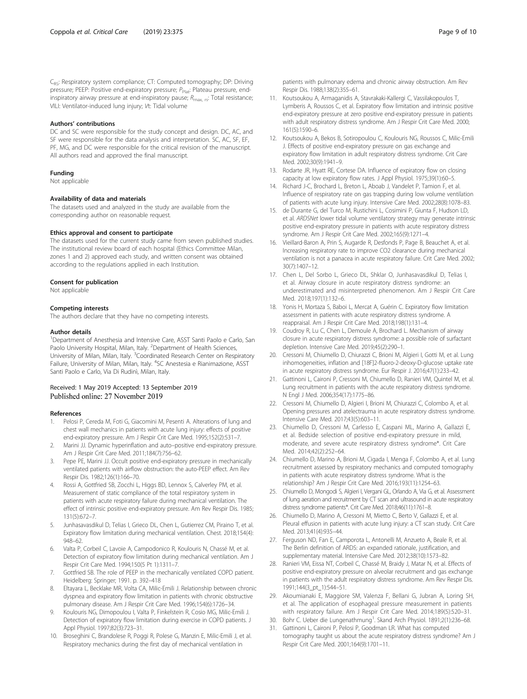#### <span id="page-8-0"></span>Authors' contributions

DC and SC were responsible for the study concept and design. DC, AC, and SF were responsible for the data analysis and interpretation. SC, AC, SF, EF, PF, MG, and DC were responsible for the critical revision of the manuscript. All authors read and approved the final manuscript.

#### Funding

Not applicable

#### Availability of data and materials

The datasets used and analyzed in the study are available from the corresponding author on reasonable request.

#### Ethics approval and consent to participate

The datasets used for the current study came from seven published studies. The institutional review board of each hospital (Ethics Committee Milan, zones 1 and 2) approved each study, and written consent was obtained according to the regulations applied in each Institution.

#### Consent for publication

Not applicable

#### Competing interests

The authors declare that they have no competing interests.

#### Author details

<sup>1</sup>Department of Anesthesia and Intensive Care, ASST Santi Paolo e Carlo, San Paolo University Hospital, Milan, Italy. <sup>2</sup>Department of Health Sciences, University of Milan, Milan, Italy. <sup>3</sup>Coordinated Research Center on Respiratory Failure, University of Milan, Milan, Italy. <sup>4</sup>SC Anestesia e Rianimazione, ASST Santi Paolo e Carlo, Via Di Rudinì, Milan, Italy.

#### Received: 1 May 2019 Accepted: 13 September 2019 Published online: 27 November 2019

#### References

- 1. Pelosi P, Cereda M, Foti G, Giacomini M, Pesenti A. Alterations of lung and chest wall mechanics in patients with acute lung injury: effects of positive end-expiratory pressure. Am J Respir Crit Care Med. 1995;152(2):531–7.
- 2. Marini JJ. Dynamic hyperinflation and auto–positive end-expiratory pressure. Am J Respir Crit Care Med. 2011;184(7):756–62.
- 3. Pepe PE, Marini JJ. Occult positive end-expiratory pressure in mechanically ventilated patients with airflow obstruction: the auto-PEEP effect. Am Rev Respir Dis. 1982;126(1):166–70.
- 4. Rossi A, Gottfried SB, Zocchi L, Higgs BD, Lennox S, Calverley PM, et al. Measurement of static compliance of the total respiratory system in patients with acute respiratory failure during mechanical ventilation. The effect of intrinsic positive end-expiratory pressure. Am Rev Respir Dis. 1985; 131(5):672–7.
- Junhasavasdikul D, Telias I, Grieco DL, Chen L, Gutierrez CM, Piraino T, et al. Expiratory flow limitation during mechanical ventilation. Chest. 2018;154(4): 948–62.
- Valta P, Corbeil C, Lavoie A, Campodonico R, Koulouris N, Chassé M, et al. Detection of expiratory flow limitation during mechanical ventilation. Am J Respir Crit Care Med. 1994;150(5 Pt 1):1311–7.
- Gottfried SB. The role of PEEP in the mechanically ventilated COPD patient. Heidelberg: Springer; 1991. p. 392–418
- 8. Eltayara L, Becklake MR, Volta CA, Milic-Emili J. Relationship between chronic dyspnea and expiratory flow limitation in patients with chronic obstructive pulmonary disease. Am J Respir Crit Care Med. 1996;154(6):1726–34.
- Koulouris NG, Dimopoulou I, Valta P, Finkelstein R, Cosio MG, Milic-Emili J. Detection of expiratory flow limitation during exercise in COPD patients. J Appl Physiol. 1997;82(3):723–31.
- 10. Broseghini C, Brandolese R, Poggi R, Polese G, Manzin E, Milic-Emili J, et al. Respiratory mechanics during the first day of mechanical ventilation in

patients with pulmonary edema and chronic airway obstruction. Am Rev Respir Dis. 1988;138(2):355–61.

- 11. Koutsoukou A, Armaganidis A, Stavrakaki-Kallergi C, Vassilakopoulos T, Lymberis A, Roussos C, et al. Expiratory flow limitation and intrinsic positive end-expiratory pressure at zero positive end-expiratory pressure in patients with adult respiratory distress syndrome. Am J Respir Crit Care Med. 2000; 161(5):1590–6.
- 12. Koutsoukou A, Bekos B, Sotiropoulou C, Koulouris NG, Roussos C, Milic-Emili J. Effects of positive end-expiratory pressure on gas exchange and expiratory flow limitation in adult respiratory distress syndrome. Crit Care Med. 2002;30(9):1941–9.
- 13. Rodarte JR, Hyatt RE, Cortese DA. Influence of expiratory flow on closing capacity at low expiratory flow rates. J Appl Physiol. 1975;39(1):60–5.
- 14. Richard J-C, Brochard L, Breton L, Aboab J, Vandelet P, Tamion F, et al. Influence of respiratory rate on gas trapping during low volume ventilation of patients with acute lung injury. Intensive Care Med. 2002;28(8):1078–83.
- 15. de Durante G, del Turco M, Rustichini L, Cosimini P, Giunta F, Hudson LD, et al. ARDSNet lower tidal volume ventilatory strategy may generate intrinsic positive end-expiratory pressure in patients with acute respiratory distress syndrome. Am J Respir Crit Care Med. 2002;165(9):1271–4.
- 16. Vieillard-Baron A, Prin S, Augarde R, Desfonds P, Page B, Beauchet A, et al. Increasing respiratory rate to improve CO2 clearance during mechanical ventilation is not a panacea in acute respiratory failure. Crit Care Med. 2002; 30(7):1407–12.
- 17. Chen L, Del Sorbo L, Grieco DL, Shklar O, Junhasavasdikul D, Telias I, et al. Airway closure in acute respiratory distress syndrome: an underestimated and misinterpreted phenomenon. Am J Respir Crit Care Med. 2018;197(1):132–6.
- 18. Yonis H, Mortaza S, Baboi L, Mercat A, Guérin C. Expiratory flow limitation assessment in patients with acute respiratory distress syndrome. A reappraisal. Am J Respir Crit Care Med. 2018;198(1):131–4.
- 19. Coudroy R, Lu C, Chen L, Demoule A, Brochard L. Mechanism of airway closure in acute respiratory distress syndrome: a possible role of surfactant depletion. Intensive Care Med. 2019;45(2):290–1.
- 20. Cressoni M, Chiumello D, Chiurazzi C, Brioni M, Algieri I, Gotti M, et al. Lung inhomogeneities, inflation and [18F]2-fluoro-2-deoxy-D-glucose uptake rate in acute respiratory distress syndrome. Eur Respir J. 2016;47(1):233–42.
- 21. Gattinoni L, Caironi P, Cressoni M, Chiumello D, Ranieri VM, Quintel M, et al. Lung recruitment in patients with the acute respiratory distress syndrome. N Engl J Med. 2006;354(17):1775–86.
- 22. Cressoni M, Chiumello D, Algieri I, Brioni M, Chiurazzi C, Colombo A, et al. Opening pressures and atelectrauma in acute respiratory distress syndrome. Intensive Care Med. 2017;43(5):603–11.
- 23. Chiumello D, Cressoni M, Carlesso E, Caspani ML, Marino A, Gallazzi E, et al. Bedside selection of positive end-expiratory pressure in mild, moderate, and severe acute respiratory distress syndrome\*. Crit Care Med. 2014;42(2):252–64.
- 24. Chiumello D, Marino A, Brioni M, Cigada I, Menga F, Colombo A, et al. Lung recruitment assessed by respiratory mechanics and computed tomography in patients with acute respiratory distress syndrome. What is the relationship? Am J Respir Crit Care Med. 2016;193(11):1254–63.
- 25. Chiumello D, Mongodi S, Algieri I, Vergani GL, Orlando A, Via G, et al. Assessment of lung aeration and recruitment by CT scan and ultrasound in acute respiratory distress syndrome patients\*. Crit Care Med. 2018;46(11):1761–8.
- 26. Chiumello D, Marino A, Cressoni M, Mietto C, Berto V, Gallazzi E, et al. Pleural effusion in patients with acute lung injury: a CT scan study. Crit Care Med. 2013;41(4):935–44.
- 27. Ferguson ND, Fan E, Camporota L, Antonelli M, Anzueto A, Beale R, et al. The Berlin definition of ARDS: an expanded rationale, justification, and supplementary material. Intensive Care Med. 2012;38(10):1573–82.
- 28. Ranieri VM, Eissa NT, Corbeil C, Chassé M, Braidy J, Matar N, et al. Effects of positive end-expiratory pressure on alveolar recruitment and gas exchange in patients with the adult respiratory distress syndrome. Am Rev Respir Dis. 1991;144(3\_pt\_1):544–51.
- 29. Akoumianaki E, Maggiore SM, Valenza F, Bellani G, Jubran A, Loring SH, et al. The application of esophageal pressure measurement in patients with respiratory failure. Am J Respir Crit Care Med. 2014;189(5):520–31.
- 30. Bohr C. Ueber die Lungenathmung<sup>1</sup>. Skand Arch Physiol. 1891;2(1):236-68.
- 31. Gattinoni L, Caironi P, Pelosi P, Goodman LR. What has computed tomography taught us about the acute respiratory distress syndrome? Am J Respir Crit Care Med. 2001;164(9):1701–11.